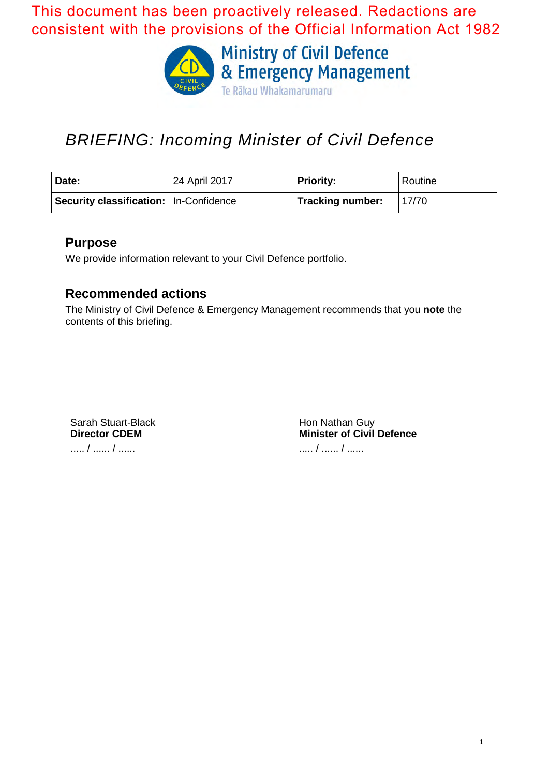This document has been proactively released. Redactions are consistent with the provisions of the Official Information Act 1982



# *BRIEFING: Incoming Minister of Civil Defence*

| Date:                                    | 24 April 2017 | <b>Priority:</b> | Routine |
|------------------------------------------|---------------|------------------|---------|
| Security classification:   In-Confidence |               | Tracking number: | 17/70   |

## **Purpose**

We provide information relevant to your Civil Defence portfolio.

## **Recommended actions**

The Ministry of Civil Defence & Emergency Management recommends that you **note** the contents of this briefing.

Sarah Stuart-Black **Director CDEM** ..... / ...... / ......

Hon Nathan Guy **Minister of Civil Defence** ..... / ...... / ......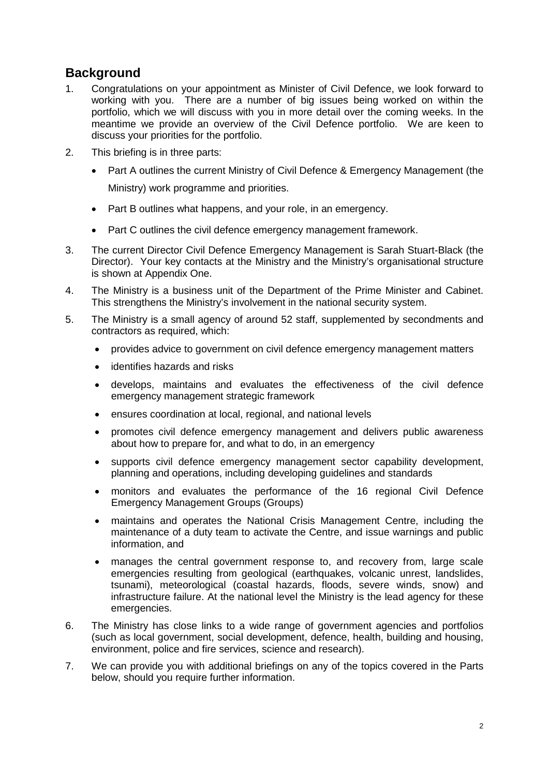## **Background**

- 1. Congratulations on your appointment as Minister of Civil Defence, we look forward to working with you. There are a number of big issues being worked on within the portfolio, which we will discuss with you in more detail over the coming weeks. In the meantime we provide an overview of the Civil Defence portfolio. We are keen to discuss your priorities for the portfolio.
- 2. This briefing is in three parts:
	- Part A outlines the current Ministry of Civil Defence & Emergency Management (the Ministry) work programme and priorities.
	- Part B outlines what happens, and your role, in an emergency.
	- Part C outlines the civil defence emergency management framework.
- 3. The current Director Civil Defence Emergency Management is Sarah Stuart-Black (the Director). Your key contacts at the Ministry and the Ministry's organisational structure is shown at Appendix One.
- 4. The Ministry is a business unit of the Department of the Prime Minister and Cabinet. This strengthens the Ministry's involvement in the national security system.
- 5. The Ministry is a small agency of around 52 staff, supplemented by secondments and contractors as required, which:
	- provides advice to government on civil defence emergency management matters
	- identifies hazards and risks
	- develops, maintains and evaluates the effectiveness of the civil defence emergency management strategic framework
	- ensures coordination at local, regional, and national levels
	- promotes civil defence emergency management and delivers public awareness about how to prepare for, and what to do, in an emergency
	- supports civil defence emergency management sector capability development, planning and operations, including developing guidelines and standards
	- monitors and evaluates the performance of the 16 regional Civil Defence Emergency Management Groups (Groups)
	- maintains and operates the National Crisis Management Centre, including the maintenance of a duty team to activate the Centre, and issue warnings and public information, and
	- manages the central government response to, and recovery from, large scale emergencies resulting from geological (earthquakes, volcanic unrest, landslides, tsunami), meteorological (coastal hazards, floods, severe winds, snow) and infrastructure failure. At the national level the Ministry is the lead agency for these emergencies.
- 6. The Ministry has close links to a wide range of government agencies and portfolios (such as local government, social development, defence, health, building and housing, environment, police and fire services, science and research).
- 7. We can provide you with additional briefings on any of the topics covered in the Parts below, should you require further information.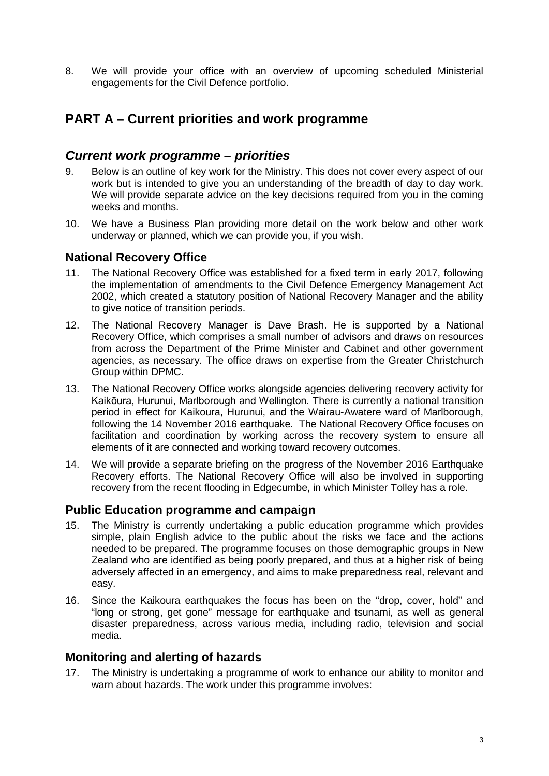8. We will provide your office with an overview of upcoming scheduled Ministerial engagements for the Civil Defence portfolio.

## **PART A – Current priorities and work programme**

## *Current work programme – priorities*

- 9. Below is an outline of key work for the Ministry. This does not cover every aspect of our work but is intended to give you an understanding of the breadth of day to day work. We will provide separate advice on the key decisions required from you in the coming weeks and months.
- 10. We have a Business Plan providing more detail on the work below and other work underway or planned, which we can provide you, if you wish.

### **National Recovery Office**

- 11. The National Recovery Office was established for a fixed term in early 2017, following the implementation of amendments to the Civil Defence Emergency Management Act 2002, which created a statutory position of National Recovery Manager and the ability to give notice of transition periods.
- 12. The National Recovery Manager is Dave Brash. He is supported by a National Recovery Office, which comprises a small number of advisors and draws on resources from across the Department of the Prime Minister and Cabinet and other government agencies, as necessary. The office draws on expertise from the Greater Christchurch Group within DPMC.
- 13. The National Recovery Office works alongside agencies delivering recovery activity for Kaikōura, Hurunui, Marlborough and Wellington. There is currently a national transition period in effect for Kaikoura, Hurunui, and the Wairau-Awatere ward of Marlborough, following the 14 November 2016 earthquake. The National Recovery Office focuses on facilitation and coordination by working across the recovery system to ensure all elements of it are connected and working toward recovery outcomes.
- 14. We will provide a separate briefing on the progress of the November 2016 Earthquake Recovery efforts. The National Recovery Office will also be involved in supporting recovery from the recent flooding in Edgecumbe, in which Minister Tolley has a role.

### **Public Education programme and campaign**

- 15. The Ministry is currently undertaking a public education programme which provides simple, plain English advice to the public about the risks we face and the actions needed to be prepared. The programme focuses on those demographic groups in New Zealand who are identified as being poorly prepared, and thus at a higher risk of being adversely affected in an emergency, and aims to make preparedness real, relevant and easy.
- 16. Since the Kaikoura earthquakes the focus has been on the "drop, cover, hold" and "long or strong, get gone" message for earthquake and tsunami, as well as general disaster preparedness, across various media, including radio, television and social media.

#### **Monitoring and alerting of hazards**

17. The Ministry is undertaking a programme of work to enhance our ability to monitor and warn about hazards. The work under this programme involves: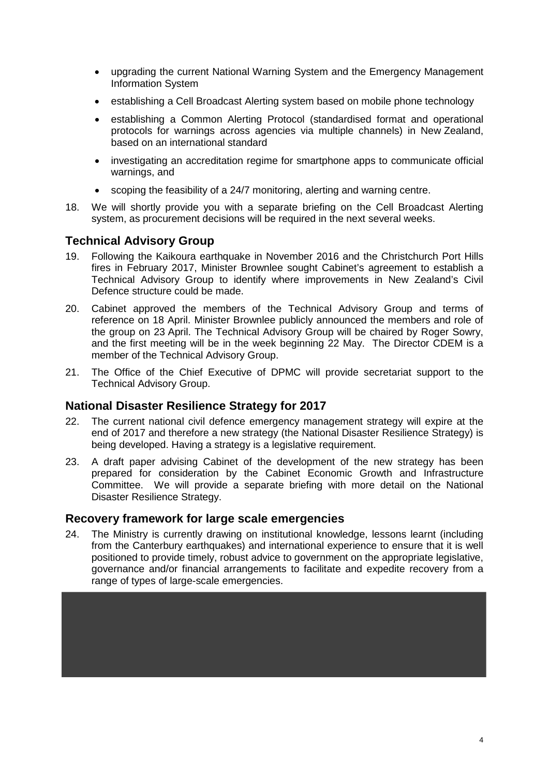- upgrading the current National Warning System and the Emergency Management Information System
- establishing a Cell Broadcast Alerting system based on mobile phone technology
- establishing a Common Alerting Protocol (standardised format and operational protocols for warnings across agencies via multiple channels) in New Zealand, based on an international standard
- investigating an accreditation regime for smartphone apps to communicate official warnings, and
- scoping the feasibility of a 24/7 monitoring, alerting and warning centre.
- 18. We will shortly provide you with a separate briefing on the Cell Broadcast Alerting system, as procurement decisions will be required in the next several weeks.

### **Technical Advisory Group**

- 19. Following the Kaikoura earthquake in November 2016 and the Christchurch Port Hills fires in February 2017, Minister Brownlee sought Cabinet's agreement to establish a Technical Advisory Group to identify where improvements in New Zealand's Civil Defence structure could be made.
- 20. Cabinet approved the members of the Technical Advisory Group and terms of reference on 18 April. Minister Brownlee publicly announced the members and role of the group on 23 April. The Technical Advisory Group will be chaired by Roger Sowry, and the first meeting will be in the week beginning 22 May. The Director CDEM is a member of the Technical Advisory Group.
- 21. The Office of the Chief Executive of DPMC will provide secretariat support to the Technical Advisory Group.

### **National Disaster Resilience Strategy for 2017**

- 22. The current national civil defence emergency management strategy will expire at the end of 2017 and therefore a new strategy (the National Disaster Resilience Strategy) is being developed. Having a strategy is a legislative requirement.
- 23. A draft paper advising Cabinet of the development of the new strategy has been prepared for consideration by the Cabinet Economic Growth and Infrastructure Committee. We will provide a separate briefing with more detail on the National Disaster Resilience Strategy.

#### **Recovery framework for large scale emergencies**

24. The Ministry is currently drawing on institutional knowledge, lessons learnt (including from the Canterbury earthquakes) and international experience to ensure that it is well positioned to provide timely, robust advice to government on the appropriate legislative, governance and/or financial arrangements to facilitate and expedite recovery from a range of types of large-scale emergencies.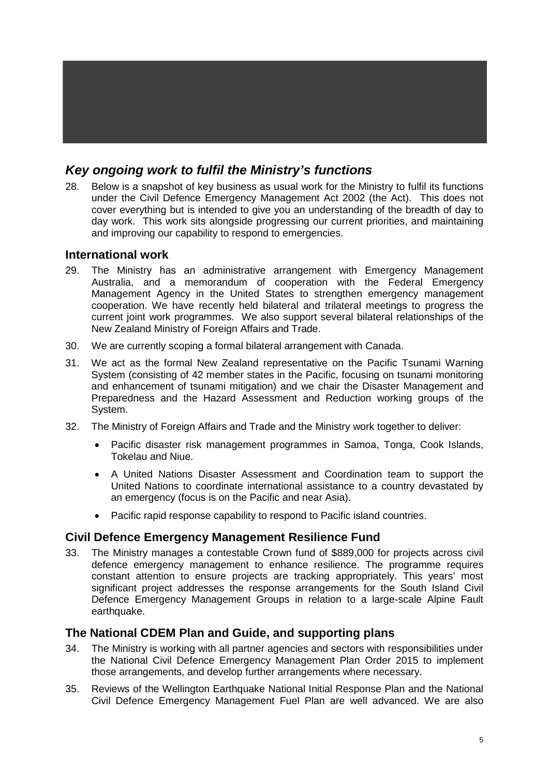## *Key ongoing work to fulfil the Ministry's functions*

28. Below is a snapshot of key business as usual work for the Ministry to fulfil its functions under the Civil Defence Emergency Management Act 2002 (the Act). This does not cover everything but is intended to give you an understanding of the breadth of day to day work. This work sits alongside progressing our current priorities, and maintaining and improving our capability to respond to emergencies.

#### **International work**

- 29. The Ministry has an administrative arrangement with Emergency Management Australia, and a memorandum of cooperation with the Federal Emergency Management Agency in the United States to strengthen emergency management cooperation. We have recently held bilateral and trilateral meetings to progress the current joint work programmes. We also support several bilateral relationships of the New Zealand Ministry of Foreign Affairs and Trade.
- 30. We are currently scoping a formal bilateral arrangement with Canada.
- 31. We act as the formal New Zealand representative on the Pacific Tsunami Warning System (consisting of 42 member states in the Pacific, focusing on tsunami monitoring and enhancement of tsunami mitigation) and we chair the Disaster Management and Preparedness and the Hazard Assessment and Reduction working groups of the System.
- 32. The Ministry of Foreign Affairs and Trade and the Ministry work together to deliver:
	- Pacific disaster risk management programmes in Samoa, Tonga, Cook Islands, Tokelau and Niue.
	- A United Nations Disaster Assessment and Coordination team to support the United Nations to coordinate international assistance to a country devastated by an emergency (focus is on the Pacific and near Asia).
	- Pacific rapid response capability to respond to Pacific island countries.

#### **Civil Defence Emergency Management Resilience Fund**

33. The Ministry manages a contestable Crown fund of \$889,000 for projects across civil defence emergency management to enhance resilience. The programme requires constant attention to ensure projects are tracking appropriately. This years' most significant project addresses the response arrangements for the South Island Civil Defence Emergency Management Groups in relation to a large-scale Alpine Fault earthquake.

#### **The National CDEM Plan and Guide, and supporting plans**

- 34. The Ministry is working with all partner agencies and sectors with responsibilities under the National Civil Defence Emergency Management Plan Order 2015 to implement those arrangements, and develop further arrangements where necessary.
- 35. Reviews of the Wellington Earthquake National Initial Response Plan and the National Civil Defence Emergency Management Fuel Plan are well advanced. We are also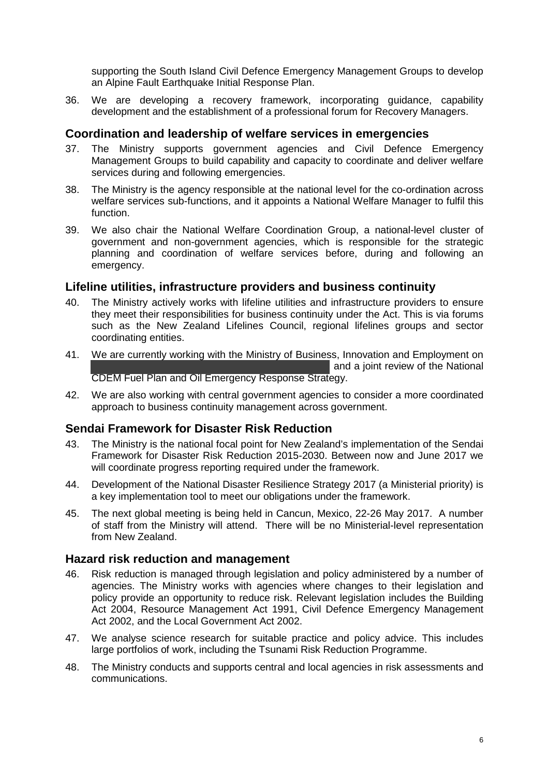supporting the South Island Civil Defence Emergency Management Groups to develop an Alpine Fault Earthquake Initial Response Plan.

36. We are developing a recovery framework, incorporating guidance, capability development and the establishment of a professional forum for Recovery Managers.

#### **Coordination and leadership of welfare services in emergencies**

- 37. The Ministry supports government agencies and Civil Defence Emergency Management Groups to build capability and capacity to coordinate and deliver welfare services during and following emergencies.
- 38. The Ministry is the agency responsible at the national level for the co-ordination across welfare services sub-functions, and it appoints a National Welfare Manager to fulfil this function.
- 39. We also chair the National Welfare Coordination Group, a national-level cluster of government and non-government agencies, which is responsible for the strategic planning and coordination of welfare services before, during and following an emergency.

#### **Lifeline utilities, infrastructure providers and business continuity**

- 40. The Ministry actively works with lifeline utilities and infrastructure providers to ensure they meet their responsibilities for business continuity under the Act. This is via forums such as the New Zealand Lifelines Council, regional lifelines groups and sector coordinating entities.
- 41. We are currently working with the Ministry of Business, Innovation and Employment on and a joint review of the National CDEM Fuel Plan and Oil Emergency Response Strategy.
- 42. We are also working with central government agencies to consider a more coordinated approach to business continuity management across government.

#### **Sendai Framework for Disaster Risk Reduction**

- 43. The Ministry is the national focal point for New Zealand's implementation of the Sendai Framework for Disaster Risk Reduction 2015-2030. Between now and June 2017 we will coordinate progress reporting required under the framework.
- 44. Development of the National Disaster Resilience Strategy 2017 (a Ministerial priority) is a key implementation tool to meet our obligations under the framework.
- 45. The next global meeting is being held in Cancun, Mexico, 22-26 May 2017. A number of staff from the Ministry will attend. There will be no Ministerial-level representation from New Zealand.

#### **Hazard risk reduction and management**

- 46. Risk reduction is managed through legislation and policy administered by a number of agencies. The Ministry works with agencies where changes to their legislation and policy provide an opportunity to reduce risk. Relevant legislation includes the Building Act 2004, Resource Management Act 1991, Civil Defence Emergency Management Act 2002, and the Local Government Act 2002.
- 47. We analyse science research for suitable practice and policy advice. This includes large portfolios of work, including the Tsunami Risk Reduction Programme.
- 48. The Ministry conducts and supports central and local agencies in risk assessments and communications.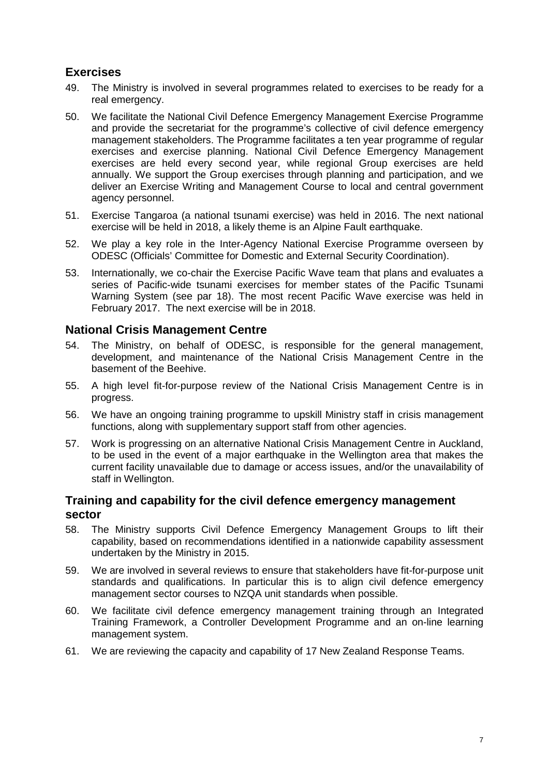## **Exercises**

- 49. The Ministry is involved in several programmes related to exercises to be ready for a real emergency.
- 50. We facilitate the National Civil Defence Emergency Management Exercise Programme and provide the secretariat for the programme's collective of civil defence emergency management stakeholders. The Programme facilitates a ten year programme of regular exercises and exercise planning. National Civil Defence Emergency Management exercises are held every second year, while regional Group exercises are held annually. We support the Group exercises through planning and participation, and we deliver an Exercise Writing and Management Course to local and central government agency personnel.
- 51. Exercise Tangaroa (a national tsunami exercise) was held in 2016. The next national exercise will be held in 2018, a likely theme is an Alpine Fault earthquake.
- 52. We play a key role in the Inter-Agency National Exercise Programme overseen by ODESC (Officials' Committee for Domestic and External Security Coordination).
- 53. Internationally, we co-chair the Exercise Pacific Wave team that plans and evaluates a series of Pacific-wide tsunami exercises for member states of the Pacific Tsunami Warning System (see par 18). The most recent Pacific Wave exercise was held in February 2017. The next exercise will be in 2018.

#### **National Crisis Management Centre**

- 54. The Ministry, on behalf of ODESC, is responsible for the general management, development, and maintenance of the National Crisis Management Centre in the basement of the Beehive.
- 55. A high level fit-for-purpose review of the National Crisis Management Centre is in progress.
- 56. We have an ongoing training programme to upskill Ministry staff in crisis management functions, along with supplementary support staff from other agencies.
- 57. Work is progressing on an alternative National Crisis Management Centre in Auckland, to be used in the event of a major earthquake in the Wellington area that makes the current facility unavailable due to damage or access issues, and/or the unavailability of staff in Wellington.

#### **Training and capability for the civil defence emergency management sector**

- 58. The Ministry supports Civil Defence Emergency Management Groups to lift their capability, based on recommendations identified in a nationwide capability assessment undertaken by the Ministry in 2015.
- 59. We are involved in several reviews to ensure that stakeholders have fit-for-purpose unit standards and qualifications. In particular this is to align civil defence emergency management sector courses to NZQA unit standards when possible.
- 60. We facilitate civil defence emergency management training through an Integrated Training Framework, a Controller Development Programme and an on-line learning management system.
- 61. We are reviewing the capacity and capability of 17 New Zealand Response Teams.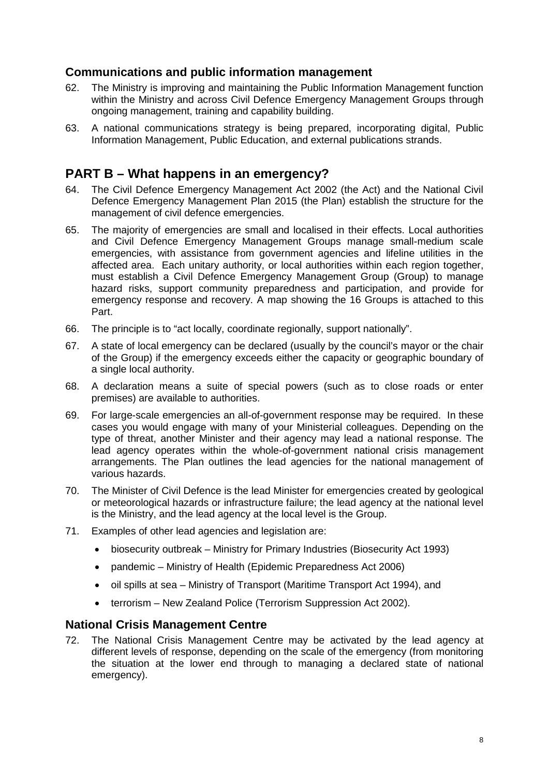#### **Communications and public information management**

- 62. The Ministry is improving and maintaining the Public Information Management function within the Ministry and across Civil Defence Emergency Management Groups through ongoing management, training and capability building.
- 63. A national communications strategy is being prepared, incorporating digital, Public Information Management, Public Education, and external publications strands.

## **PART B – What happens in an emergency?**

- 64. The Civil Defence Emergency Management Act 2002 (the Act) and the National Civil Defence Emergency Management Plan 2015 (the Plan) establish the structure for the management of civil defence emergencies.
- 65. The majority of emergencies are small and localised in their effects. Local authorities and Civil Defence Emergency Management Groups manage small-medium scale emergencies, with assistance from government agencies and lifeline utilities in the affected area. Each unitary authority, or local authorities within each region together, must establish a Civil Defence Emergency Management Group (Group) to manage hazard risks, support community preparedness and participation, and provide for emergency response and recovery. A map showing the 16 Groups is attached to this Part.
- 66. The principle is to "act locally, coordinate regionally, support nationally".
- 67. A state of local emergency can be declared (usually by the council's mayor or the chair of the Group) if the emergency exceeds either the capacity or geographic boundary of a single local authority.
- 68. A declaration means a suite of special powers (such as to close roads or enter premises) are available to authorities.
- 69. For large-scale emergencies an all-of-government response may be required. In these cases you would engage with many of your Ministerial colleagues. Depending on the type of threat, another Minister and their agency may lead a national response. The lead agency operates within the whole-of-government national crisis management arrangements. The Plan outlines the lead agencies for the national management of various hazards.
- 70. The Minister of Civil Defence is the lead Minister for emergencies created by geological or meteorological hazards or infrastructure failure; the lead agency at the national level is the Ministry, and the lead agency at the local level is the Group.
- 71. Examples of other lead agencies and legislation are:
	- biosecurity outbreak Ministry for Primary Industries (Biosecurity Act 1993)
	- pandemic Ministry of Health (Epidemic Preparedness Act 2006)
	- oil spills at sea Ministry of Transport (Maritime Transport Act 1994), and
	- terrorism New Zealand Police (Terrorism Suppression Act 2002).

#### **National Crisis Management Centre**

72. The National Crisis Management Centre may be activated by the lead agency at different levels of response, depending on the scale of the emergency (from monitoring the situation at the lower end through to managing a declared state of national emergency).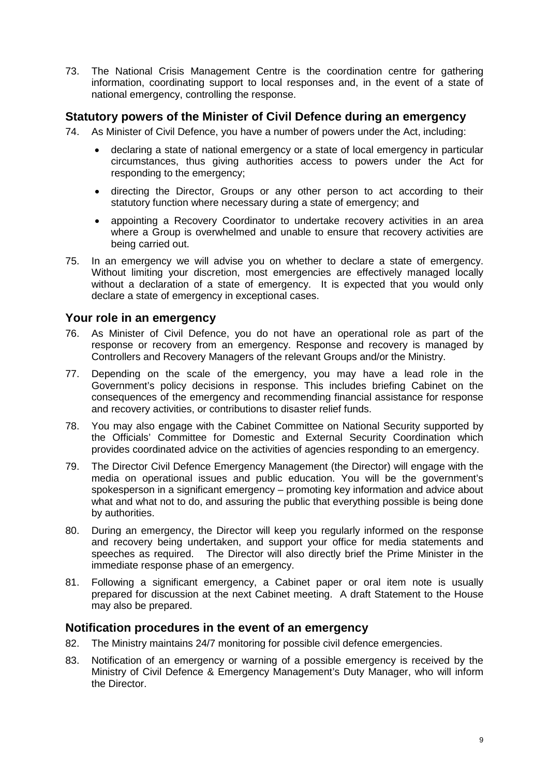73. The National Crisis Management Centre is the coordination centre for gathering information, coordinating support to local responses and, in the event of a state of national emergency, controlling the response.

#### **Statutory powers of the Minister of Civil Defence during an emergency**

- 74. As Minister of Civil Defence, you have a number of powers under the Act, including:
	- declaring a state of national emergency or a state of local emergency in particular circumstances, thus giving authorities access to powers under the Act for responding to the emergency;
	- directing the Director, Groups or any other person to act according to their statutory function where necessary during a state of emergency; and
	- appointing a Recovery Coordinator to undertake recovery activities in an area where a Group is overwhelmed and unable to ensure that recovery activities are being carried out.
- 75. In an emergency we will advise you on whether to declare a state of emergency. Without limiting your discretion, most emergencies are effectively managed locally without a declaration of a state of emergency. It is expected that you would only declare a state of emergency in exceptional cases.

#### **Your role in an emergency**

- 76. As Minister of Civil Defence, you do not have an operational role as part of the response or recovery from an emergency. Response and recovery is managed by Controllers and Recovery Managers of the relevant Groups and/or the Ministry.
- 77. Depending on the scale of the emergency, you may have a lead role in the Government's policy decisions in response. This includes briefing Cabinet on the consequences of the emergency and recommending financial assistance for response and recovery activities, or contributions to disaster relief funds.
- 78. You may also engage with the Cabinet Committee on National Security supported by the Officials' Committee for Domestic and External Security Coordination which provides coordinated advice on the activities of agencies responding to an emergency.
- 79. The Director Civil Defence Emergency Management (the Director) will engage with the media on operational issues and public education. You will be the government's spokesperson in a significant emergency – promoting key information and advice about what and what not to do, and assuring the public that everything possible is being done by authorities.
- 80. During an emergency, the Director will keep you regularly informed on the response and recovery being undertaken, and support your office for media statements and speeches as required. The Director will also directly brief the Prime Minister in the immediate response phase of an emergency.
- 81. Following a significant emergency, a Cabinet paper or oral item note is usually prepared for discussion at the next Cabinet meeting. A draft Statement to the House may also be prepared.

#### **Notification procedures in the event of an emergency**

- 82. The Ministry maintains 24/7 monitoring for possible civil defence emergencies.
- 83. Notification of an emergency or warning of a possible emergency is received by the Ministry of Civil Defence & Emergency Management's Duty Manager, who will inform the Director.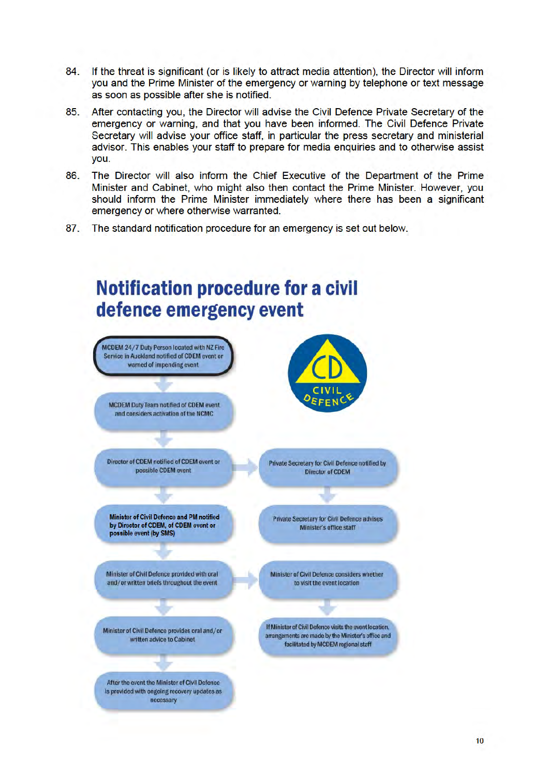- 84. If the threat is significant (or is likely to attract media attention), the Director will inform you and the Prime Minister of the emergency or warning by telephone or text message as soon as possible after she is notified.
- 85. After contacting you, the Director will advise the Civil Defence Private Secretary of the emergency or warning, and that you have been informed. The Civil Defence Private Secretary will advise your office staff, in particular the press secretary and ministerial advisor. This enables your staff to prepare for media enquiries and to otherwise assist vou.
- 86. The Director will also inform the Chief Executive of the Department of the Prime Minister and Cabinet, who might also then contact the Prime Minister. However, you should inform the Prime Minister immediately where there has been a significant emergency or where otherwise warranted.
- $87.$ The standard notification procedure for an emergency is set out below.

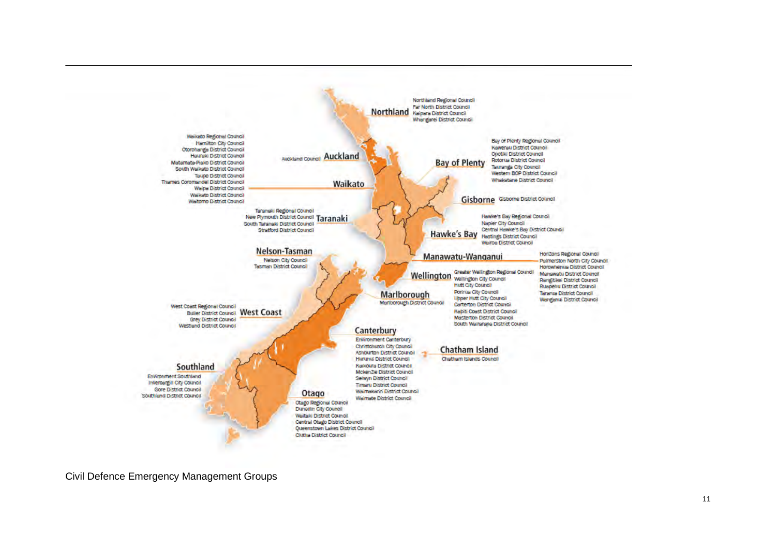

Civil Defence Emergency Management Groups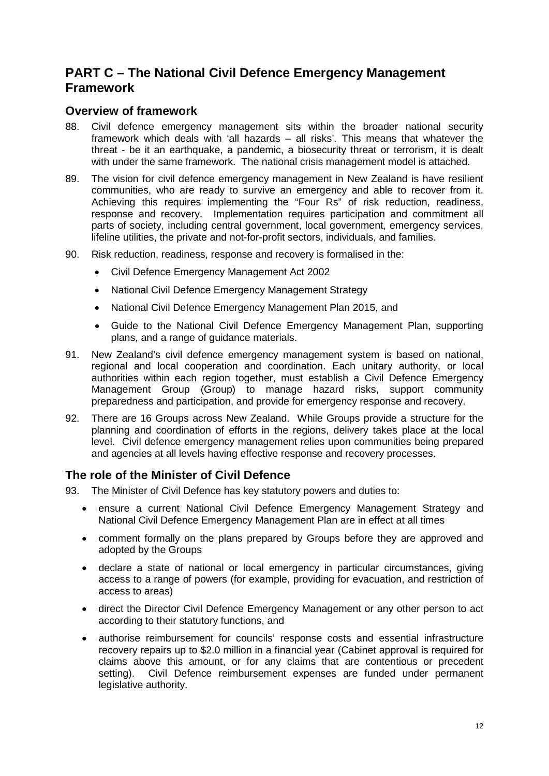## **PART C – The National Civil Defence Emergency Management Framework**

#### **Overview of framework**

- 88. Civil defence emergency management sits within the broader national security framework which deals with 'all hazards – all risks'. This means that whatever the threat - be it an earthquake, a pandemic, a biosecurity threat or terrorism, it is dealt with under the same framework. The national crisis management model is attached.
- 89. The vision for civil defence emergency management in New Zealand is have resilient communities, who are ready to survive an emergency and able to recover from it. Achieving this requires implementing the "Four Rs" of risk reduction, readiness, response and recovery. Implementation requires participation and commitment all parts of society, including central government, local government, emergency services, lifeline utilities, the private and not-for-profit sectors, individuals, and families.
- 90. Risk reduction, readiness, response and recovery is formalised in the:
	- Civil Defence Emergency Management Act 2002
	- National Civil Defence Emergency Management Strategy
	- National Civil Defence Emergency Management Plan 2015, and
	- Guide to the National Civil Defence Emergency Management Plan, supporting plans, and a range of guidance materials.
- 91. New Zealand's civil defence emergency management system is based on national, regional and local cooperation and coordination. Each unitary authority, or local authorities within each region together, must establish a Civil Defence Emergency Management Group (Group) to manage hazard risks, support community preparedness and participation, and provide for emergency response and recovery.
- 92. There are 16 Groups across New Zealand. While Groups provide a structure for the planning and coordination of efforts in the regions, delivery takes place at the local level. Civil defence emergency management relies upon communities being prepared and agencies at all levels having effective response and recovery processes.

## **The role of the Minister of Civil Defence**

- 93. The Minister of Civil Defence has key statutory powers and duties to:
	- ensure a current National Civil Defence Emergency Management Strategy and National Civil Defence Emergency Management Plan are in effect at all times
	- comment formally on the plans prepared by Groups before they are approved and adopted by the Groups
	- declare a state of national or local emergency in particular circumstances, giving access to a range of powers (for example, providing for evacuation, and restriction of access to areas)
	- direct the Director Civil Defence Emergency Management or any other person to act according to their statutory functions, and
	- authorise reimbursement for councils' response costs and essential infrastructure recovery repairs up to \$2.0 million in a financial year (Cabinet approval is required for claims above this amount, or for any claims that are contentious or precedent setting). Civil Defence reimbursement expenses are funded under permanent legislative authority.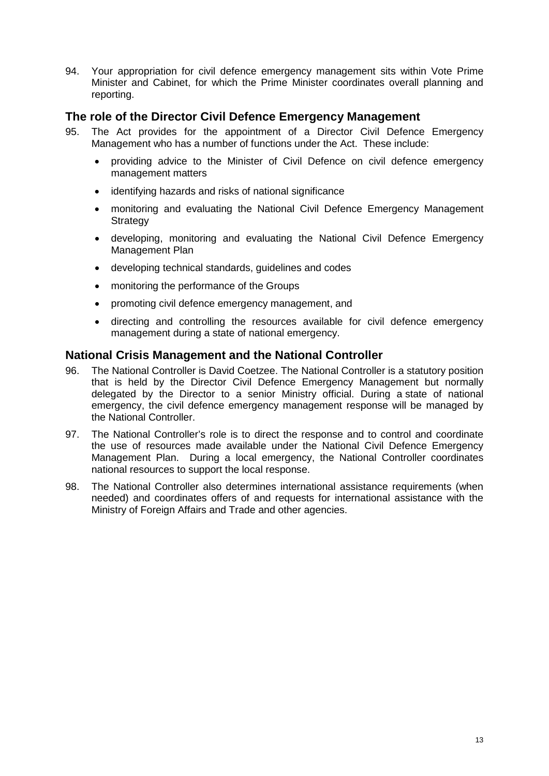94. Your appropriation for civil defence emergency management sits within Vote Prime Minister and Cabinet, for which the Prime Minister coordinates overall planning and reporting.

#### **The role of the Director Civil Defence Emergency Management**

- 95. The Act provides for the appointment of a Director Civil Defence Emergency Management who has a number of functions under the Act. These include:
	- providing advice to the Minister of Civil Defence on civil defence emergency management matters
	- identifying hazards and risks of national significance
	- monitoring and evaluating the National Civil Defence Emergency Management **Strategy**
	- developing, monitoring and evaluating the National Civil Defence Emergency Management Plan
	- developing technical standards, guidelines and codes
	- monitoring the performance of the Groups
	- promoting civil defence emergency management, and
	- directing and controlling the resources available for civil defence emergency management during a state of national emergency.

#### **National Crisis Management and the National Controller**

- 96. The National Controller is David Coetzee. The National Controller is a statutory position that is held by the Director Civil Defence Emergency Management but normally delegated by the Director to a senior Ministry official. During a state of national emergency, the civil defence emergency management response will be managed by the National Controller.
- 97. The National Controller's role is to direct the response and to control and coordinate the use of resources made available under the National Civil Defence Emergency Management Plan. During a local emergency, the National Controller coordinates national resources to support the local response.
- 98. The National Controller also determines international assistance requirements (when needed) and coordinates offers of and requests for international assistance with the Ministry of Foreign Affairs and Trade and other agencies.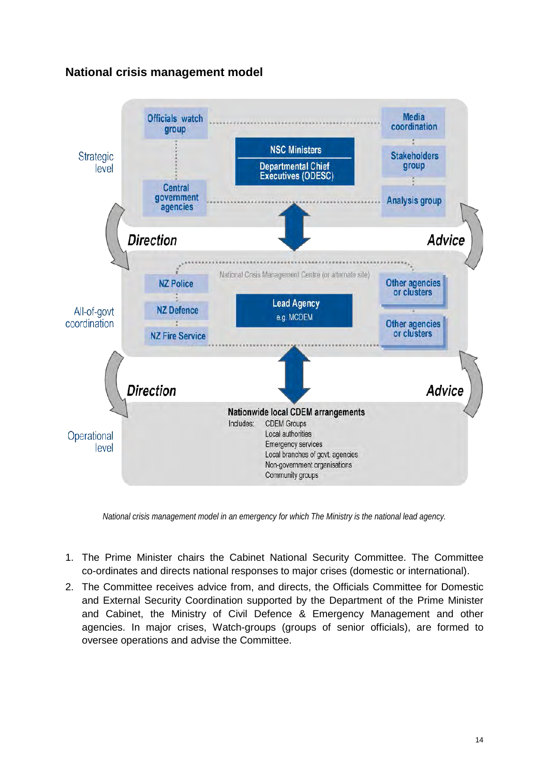## **National crisis management model**



*National crisis management model in an emergency for which The Ministry is the national lead agency.* 

- 1. The Prime Minister chairs the Cabinet National Security Committee. The Committee co-ordinates and directs national responses to major crises (domestic or international).
- 2. The Committee receives advice from, and directs, the Officials Committee for Domestic and External Security Coordination supported by the Department of the Prime Minister and Cabinet, the Ministry of Civil Defence & Emergency Management and other agencies. In major crises, Watch-groups (groups of senior officials), are formed to oversee operations and advise the Committee.